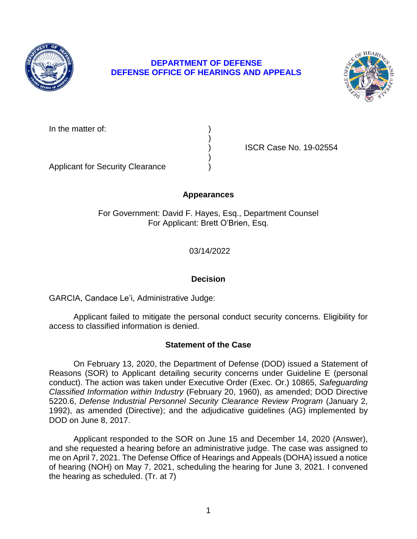

# **DEPARTMENT OF DEFENSE DEFENSE OFFICE OF HEARINGS AND APPEALS**



In the matter of:

) ISCR Case No. 19-02554

Applicant for Security Clearance )

## **Appearances**

)

)

For Government: David F. Hayes, Esq., Department Counsel For Applicant: Brett O'Brien, Esq.

03/14/2022

# **Decision**

GARCIA, Candace Le'i, Administrative Judge:

Applicant failed to mitigate the personal conduct security concerns. Eligibility for access to classified information is denied.

# **Statement of the Case**

 On February 13, 2020, the Department of Defense (DOD) issued a Statement of Reasons (SOR) to Applicant detailing security concerns under Guideline E (personal conduct). The action was taken under Executive Order (Exec. Or.) 10865, *Safeguarding Classified Information within Industry* (February 20, 1960), as amended; DOD Directive 5220.6, *Defense Industrial Personnel Security Clearance Review Program* (January 2, 1992), as amended (Directive); and the adjudicative guidelines (AG) implemented by DOD on June 8, 2017.

 Applicant responded to the SOR on June 15 and December 14, 2020 (Answer), and she requested a hearing before an administrative judge. The case was assigned to me on April 7, 2021. The Defense Office of Hearings and Appeals (DOHA) issued a notice of hearing (NOH) on May 7, 2021, scheduling the hearing for June 3, 2021. I convened the hearing as scheduled. (Tr. at 7)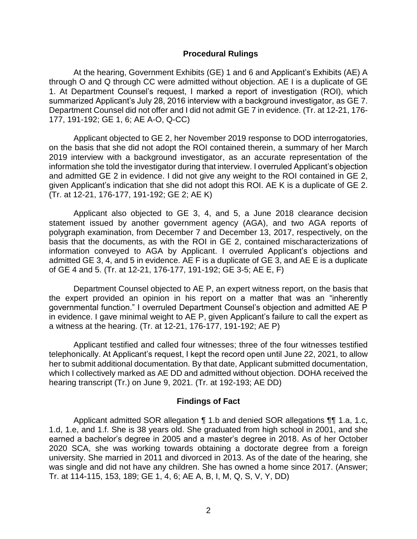#### **Procedural Rulings**

At the hearing, Government Exhibits (GE) 1 and 6 and Applicant's Exhibits (AE) A through O and Q through CC were admitted without objection. AE I is a duplicate of GE 1. At Department Counsel's request, I marked a report of investigation (ROI), which summarized Applicant's July 28, 2016 interview with a background investigator, as GE 7. Department Counsel did not offer and I did not admit GE 7 in evidence. (Tr. at 12-21, 176- 177, 191-192; GE 1, 6; AE A-O, Q-CC)

 Applicant objected to GE 2, her November 2019 response to DOD interrogatories, on the basis that she did not adopt the ROI contained therein, a summary of her March 2019 interview with a background investigator, as an accurate representation of the information she told the investigator during that interview. I overruled Applicant's objection and admitted GE 2 in evidence. I did not give any weight to the ROI contained in GE 2, given Applicant's indication that she did not adopt this ROI. AE K is a duplicate of GE 2. (Tr. at 12-21, 176-177, 191-192; GE 2; AE K)

 Applicant also objected to GE 3, 4, and 5, a June 2018 clearance decision statement issued by another government agency (AGA), and two AGA reports of polygraph examination, from December 7 and December 13, 2017, respectively, on the basis that the documents, as with the ROI in GE 2, contained mischaracterizations of admitted GE 3, 4, and 5 in evidence. AE F is a duplicate of GE 3, and AE E is a duplicate of GE 4 and 5. (Tr. at 12-21, 176-177, 191-192; GE 3-5; AE E, F) information conveyed to AGA by Applicant. I overruled Applicant's objections and

 Department Counsel objected to AE P, an expert witness report, on the basis that the expert provided an opinion in his report on a matter that was an "inherently governmental function." I overruled Department Counsel's objection and admitted AE P in evidence. I gave minimal weight to AE P, given Applicant's failure to call the expert as a witness at the hearing. (Tr. at 12-21, 176-177, 191-192; AE P)

 Applicant testified and called four witnesses; three of the four witnesses testified telephonically. At Applicant's request, I kept the record open until June 22, 2021, to allow which I collectively marked as AE DD and admitted without objection. DOHA received the hearing transcript (Tr.) on June 9, 2021. (Tr. at 192-193; AE DD) her to submit additional documentation. By that date, Applicant submitted documentation,

### **Findings of Fact**

 1.d, 1.e, and 1.f. She is 38 years old. She graduated from high school in 2001, and she earned a bachelor's degree in 2005 and a master's degree in 2018. As of her October 2020 SCA, she was working towards obtaining a doctorate degree from a foreign university. She married in 2011 and divorced in 2013. As of the date of the hearing, she was single and did not have any children. She has owned a home since 2017. (Answer; Applicant admitted SOR allegation ¶ 1.b and denied SOR allegations ¶¶ 1.a, 1.c, Tr. at 114-115, 153, 189; GE 1, 4, 6; AE A, B, I, M, Q, S, V, Y, DD)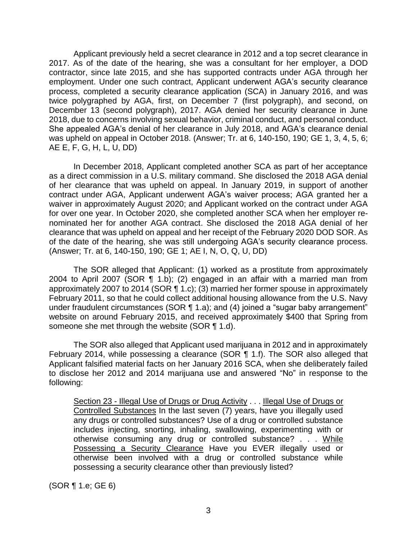Applicant previously held a secret clearance in 2012 and a top secret clearance in 2017. As of the date of the hearing, she was a consultant for her employer, a DOD contractor, since late 2015, and she has supported contracts under AGA through her employment. Under one such contract, Applicant underwent AGA's security clearance process, completed a security clearance application (SCA) in January 2016, and was twice polygraphed by AGA, first, on December 7 (first polygraph), and second, on December 13 (second polygraph), 2017. AGA denied her security clearance in June 2018, due to concerns involving sexual behavior, criminal conduct, and personal conduct. She appealed AGA's denial of her clearance in July 2018, and AGA's clearance denial was upheld on appeal in October 2018. (Answer; Tr. at 6, 140-150, 190; GE 1, 3, 4, 5, 6; AE E, F, G, H, L, U, DD)

In December 2018, Applicant completed another SCA as part of her acceptance as a direct commission in a U.S. military command. She disclosed the 2018 AGA denial of her clearance that was upheld on appeal. In January 2019, in support of another contract under AGA, Applicant underwent AGA's waiver process; AGA granted her a waiver in approximately August 2020; and Applicant worked on the contract under AGA for over one year. In October 2020, she completed another SCA when her employer renominated her for another AGA contract. She disclosed the 2018 AGA denial of her clearance that was upheld on appeal and her receipt of the February 2020 DOD SOR. As of the date of the hearing, she was still undergoing AGA's security clearance process. (Answer; Tr. at 6, 140-150, 190; GE 1; AE I, N, O, Q, U, DD)

 The SOR alleged that Applicant: (1) worked as a prostitute from approximately 2004 to April 2007 (SOR ¶ 1.b); (2) engaged in an affair with a married man from approximately 2007 to 2014 (SOR ¶ 1.c); (3) married her former spouse in approximately website on around February 2015, and received approximately \$400 that Spring from February 2011, so that he could collect additional housing allowance from the U.S. Navy under fraudulent circumstances (SOR ¶ 1.a); and (4) joined a "sugar baby arrangement" someone she met through the website (SOR ¶ 1.d).

 The SOR also alleged that Applicant used marijuana in 2012 and in approximately February 2014, while possessing a clearance (SOR ¶ 1.f). The SOR also alleged that Applicant falsified material facts on her January 2016 SCA, when she deliberately failed to disclose her 2012 and 2014 marijuana use and answered "No" in response to the following:

Section 23 - Illegal Use of Drugs or Drug Activity . . . Illegal Use of Drugs or Controlled Substances In the last seven (7) years, have you illegally used any drugs or controlled substances? Use of a drug or controlled substance includes injecting, snorting, inhaling, swallowing, experimenting with or otherwise consuming any drug or controlled substance? . . . While Possessing a Security Clearance Have you EVER illegally used or otherwise been involved with a drug or controlled substance while possessing a security clearance other than previously listed?

(SOR ¶ 1.e; GE 6)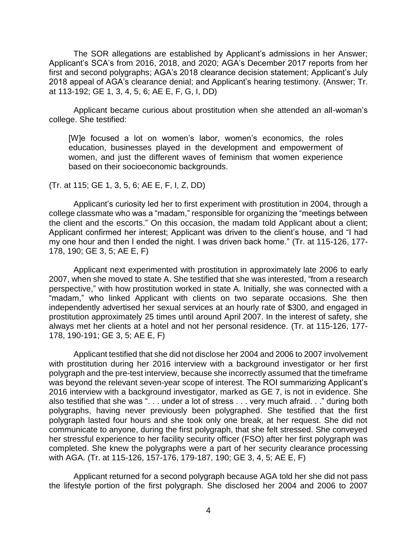Applicant's SCA's from 2016, 2018, and 2020; AGA's December 2017 reports from her first and second polygraphs; AGA's 2018 clearance decision statement; Applicant's July The SOR allegations are established by Applicant's admissions in her Answer; 2018 appeal of AGA's clearance denial; and Applicant's hearing testimony. (Answer; Tr. at 113-192; GE 1, 3, 4, 5, 6; AE E, F, G, I, DD)

 Applicant became curious about prostitution when she attended an all-woman's college. She testified:

[W]e focused a lot on women's labor, women's economics, the roles education, businesses played in the development and empowerment of women, and just the different waves of feminism that women experience based on their socioeconomic backgrounds.

(Tr. at 115; GE 1, 3, 5, 6; AE E, F, I, Z, DD)

Applicant's curiosity led her to first experiment with prostitution in 2004, through a college classmate who was a "madam," responsible for organizing the "meetings between the client and the escorts." On this occasion, the madam told Applicant about a client; Applicant confirmed her interest; Applicant was driven to the client's house, and "I had my one hour and then I ended the night. I was driven back home." (Tr. at 115-126, 177- 178, 190; GE 3, 5; AE E, F)

Applicant next experimented with prostitution in approximately late 2006 to early 2007, when she moved to state A. She testified that she was interested, "from a research perspective," with how prostitution worked in state A. Initially, she was connected with a "madam," who linked Applicant with clients on two separate occasions. She then independently advertised her sexual services at an hourly rate of \$300, and engaged in prostitution approximately 25 times until around April 2007. In the interest of safety, she always met her clients at a hotel and not her personal residence. (Tr. at 115-126, 177- 178, 190-191; GE 3, 5; AE E, F)

 Applicant testified that she did not disclose her 2004 and 2006 to 2007 involvement with prostitution during her 2016 interview with a background investigator or her first polygraph and the pre-test interview, because she incorrectly assumed that the timeframe was beyond the relevant seven-year scope of interest. The ROI summarizing Applicant's 2016 interview with a background investigator, marked as GE 7, is not in evidence. She also testified that she was ". . . under a lot of stress . . . very much afraid. . ." during both polygraphs, having never previously been polygraphed. She testified that the first polygraph lasted four hours and she took only one break, at her request. She did not communicate to anyone, during the first polygraph, that she felt stressed. She conveyed her stressful experience to her facility security officer (FSO) after her first polygraph was completed. She knew the polygraphs were a part of her security clearance processing with AGA. (Tr. at 115-126, 157-176, 179-187, 190; GE 3, 4, 5; AE E, F)

 Applicant returned for a second polygraph because AGA told her she did not pass the lifestyle portion of the first polygraph. She disclosed her 2004 and 2006 to 2007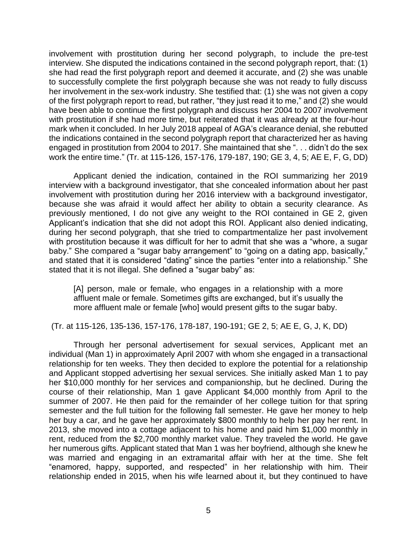involvement with prostitution during her second polygraph, to include the pre-test interview. She disputed the indications contained in the second polygraph report, that: (1) she had read the first polygraph report and deemed it accurate, and (2) she was unable to successfully complete the first polygraph because she was not ready to fully discuss her involvement in the sex-work industry. She testified that: (1) she was not given a copy of the first polygraph report to read, but rather, "they just read it to me," and (2) she would have been able to continue the first polygraph and discuss her 2004 to 2007 involvement with prostitution if she had more time, but reiterated that it was already at the four-hour mark when it concluded. In her July 2018 appeal of AGA's clearance denial, she rebutted the indications contained in the second polygraph report that characterized her as having engaged in prostitution from 2004 to 2017. She maintained that she ". . . didn't do the sex work the entire time." (Tr. at 115-126, 157-176, 179-187, 190; GE 3, 4, 5; AE E, F, G, DD)

 Applicant denied the indication, contained in the ROI summarizing her 2019 interview with a background investigator, that she concealed information about her past involvement with prostitution during her 2016 interview with a background investigator, because she was afraid it would affect her ability to obtain a security clearance. As previously mentioned, I do not give any weight to the ROI contained in GE 2, given Applicant's indication that she did not adopt this ROI. Applicant also denied indicating, during her second polygraph, that she tried to compartmentalize her past involvement with prostitution because it was difficult for her to admit that she was a "whore, a sugar baby." She compared a "sugar baby arrangement" to "going on a dating app, basically," and stated that it is considered "dating" since the parties "enter into a relationship." She stated that it is not illegal. She defined a "sugar baby" as:

[A] person, male or female, who engages in a relationship with a more affluent male or female. Sometimes gifts are exchanged, but it's usually the more affluent male or female [who] would present gifts to the sugar baby.

(Tr. at 115-126, 135-136, 157-176, 178-187, 190-191; GE 2, 5; AE E, G, J, K, DD)

 individual (Man 1) in approximately April 2007 with whom she engaged in a transactional relationship for ten weeks. They then decided to explore the potential for a relationship and Applicant stopped advertising her sexual services. She initially asked Man 1 to pay her \$10,000 monthly for her services and companionship, but he declined. During the course of their relationship, Man 1 gave Applicant \$4,000 monthly from April to the summer of 2007. He then paid for the remainder of her college tuition for that spring semester and the full tuition for the following fall semester. He gave her money to help her buy a car, and he gave her approximately \$800 monthly to help her pay her rent. In 2013, she moved into a cottage adjacent to his home and paid him \$1,000 monthly in rent, reduced from the \$2,700 monthly market value. They traveled the world. He gave was married and engaging in an extramarital affair with her at the time. She felt "enamored, happy, supported, and respected" in her relationship with him. Their relationship ended in 2015, when his wife learned about it, but they continued to have Through her personal advertisement for sexual services, Applicant met an her numerous gifts. Applicant stated that Man 1 was her boyfriend, although she knew he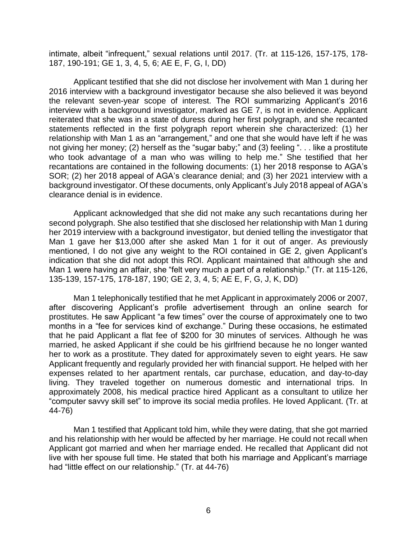intimate, albeit "infrequent," sexual relations until 2017. (Tr. at 115-126, 157-175, 178- 187, 190-191; GE 1, 3, 4, 5, 6; AE E, F, G, I, DD)

 Applicant testified that she did not disclose her involvement with Man 1 during her 2016 interview with a background investigator because she also believed it was beyond interview with a background investigator, marked as GE 7, is not in evidence. Applicant reiterated that she was in a state of duress during her first polygraph, and she recanted statements reflected in the first polygraph report wherein she characterized: (1) her relationship with Man 1 as an "arrangement," and one that she would have left if he was not giving her money; (2) herself as the "sugar baby;" and (3) feeling ". . . like a prostitute who took advantage of a man who was willing to help me." She testified that her recantations are contained in the following documents: (1) her 2018 response to AGA's SOR; (2) her 2018 appeal of AGA's clearance denial; and (3) her 2021 interview with a background investigator. Of these documents, only Applicant's July 2018 appeal of AGA's the relevant seven-year scope of interest. The ROI summarizing Applicant's 2016 clearance denial is in evidence.

 Applicant acknowledged that she did not make any such recantations during her second polygraph. She also testified that she disclosed her relationship with Man 1 during her 2019 interview with a background investigator, but denied telling the investigator that Man 1 gave her \$13,000 after she asked Man 1 for it out of anger. As previously mentioned, I do not give any weight to the ROI contained in GE 2, given Applicant's indication that she did not adopt this ROI. Applicant maintained that although she and Man 1 were having an affair, she "felt very much a part of a relationship." (Tr. at 115-126, 135-139, 157-175, 178-187, 190; GE 2, 3, 4, 5; AE E, F, G, J, K, DD)

 Man 1 telephonically testified that he met Applicant in approximately 2006 or 2007, after discovering Applicant's profile advertisement through an online search for prostitutes. He saw Applicant "a few times" over the course of approximately one to two months in a "fee for services kind of exchange." During these occasions, he estimated that he paid Applicant a flat fee of \$200 for 30 minutes of services. Although he was married, he asked Applicant if she could be his girlfriend because he no longer wanted her to work as a prostitute. They dated for approximately seven to eight years. He saw Applicant frequently and regularly provided her with financial support. He helped with her expenses related to her apartment rentals, car purchase, education, and day-to-day living. They traveled together on numerous domestic and international trips. In approximately 2008, his medical practice hired Applicant as a consultant to utilize her "computer savvy skill set" to improve its social media profiles. He loved Applicant. (Tr. at 44-76)

 Man 1 testified that Applicant told him, while they were dating, that she got married and his relationship with her would be affected by her marriage. He could not recall when Applicant got married and when her marriage ended. He recalled that Applicant did not live with her spouse full time. He stated that both his marriage and Applicant's marriage had "little effect on our relationship." (Tr. at 44-76)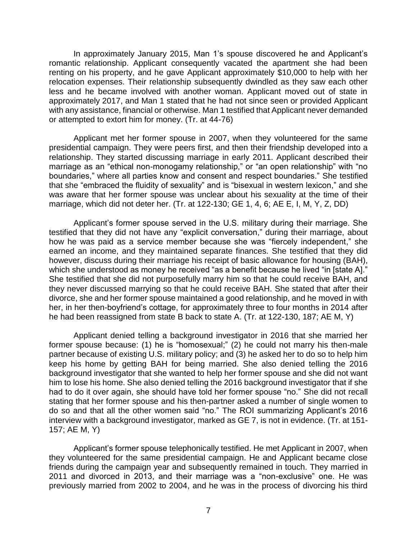In approximately January 2015, Man 1's spouse discovered he and Applicant's romantic relationship. Applicant consequently vacated the apartment she had been renting on his property, and he gave Applicant approximately \$10,000 to help with her relocation expenses. Their relationship subsequently dwindled as they saw each other less and he became involved with another woman. Applicant moved out of state in approximately 2017, and Man 1 stated that he had not since seen or provided Applicant with any assistance, financial or otherwise. Man 1 testified that Applicant never demanded or attempted to extort him for money. (Tr. at 44-76)

 Applicant met her former spouse in 2007, when they volunteered for the same presidential campaign. They were peers first, and then their friendship developed into a relationship. They started discussing marriage in early 2011. Applicant described their marriage as an "ethical non-monogamy relationship," or "an open relationship" with "no boundaries," where all parties know and consent and respect boundaries." She testified that she "embraced the fluidity of sexuality" and is "bisexual in western lexicon," and she was aware that her former spouse was unclear about his sexuality at the time of their marriage, which did not deter her. (Tr. at 122-130; GE 1, 4, 6; AE E, I, M, Y, Z, DD)

 Applicant's former spouse served in the U.S. military during their marriage. She testified that they did not have any "explicit conversation," during their marriage, about how he was paid as a service member because she was "fiercely independent," she earned an income, and they maintained separate finances. She testified that they did which she understood as money he received "as a benefit because he lived "in [state A]." She testified that she did not purposefully marry him so that he could receive BAH, and they never discussed marrying so that he could receive BAH. She stated that after their divorce, she and her former spouse maintained a good relationship, and he moved in with her, in her then-boyfriend's cottage, for approximately three to four months in 2014 after he had been reassigned from state B back to state A. (Tr. at 122-130, 187; AE M, Y) however, discuss during their marriage his receipt of basic allowance for housing (BAH),

Applicant denied telling a background investigator in 2016 that she married her former spouse because: (1) he is "homosexual;" (2) he could not marry his then-male partner because of existing U.S. military policy; and (3) he asked her to do so to help him keep his home by getting BAH for being married. She also denied telling the 2016 background investigator that she wanted to help her former spouse and she did not want him to lose his home. She also denied telling the 2016 background investigator that if she had to do it over again, she should have told her former spouse "no." She did not recall stating that her former spouse and his then-partner asked a number of single women to do so and that all the other women said "no." The ROI summarizing Applicant's 2016 interview with a background investigator, marked as GE 7, is not in evidence. (Tr. at 151- 157; AE M, Y)

 Applicant's former spouse telephonically testified. He met Applicant in 2007, when they volunteered for the same presidential campaign. He and Applicant became close friends during the campaign year and subsequently remained in touch. They married in 2011 and divorced in 2013, and their marriage was a "non-exclusive" one. He was previously married from 2002 to 2004, and he was in the process of divorcing his third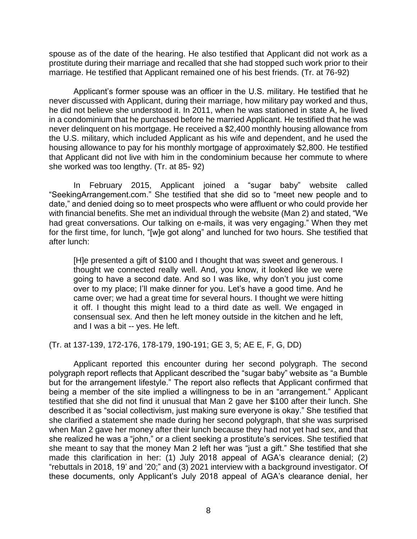spouse as of the date of the hearing. He also testified that Applicant did not work as a prostitute during their marriage and recalled that she had stopped such work prior to their marriage. He testified that Applicant remained one of his best friends. (Tr. at 76-92)

 Applicant's former spouse was an officer in the U.S. military. He testified that he never discussed with Applicant, during their marriage, how military pay worked and thus, he did not believe she understood it. In 2011, when he was stationed in state A, he lived in a condominium that he purchased before he married Applicant. He testified that he was never delinquent on his mortgage. He received a \$2,400 monthly housing allowance from the U.S. military, which included Applicant as his wife and dependent, and he used the that Applicant did not live with him in the condominium because her commute to where housing allowance to pay for his monthly mortgage of approximately \$2,800. He testified she worked was too lengthy. (Tr. at 85- 92)

 In February 2015, Applicant joined a "sugar baby" website called ["SeekingArrangement.com.](https://SeekingArrangement.com)" She testified that she did so to "meet new people and to date," and denied doing so to meet prospects who were affluent or who could provide her with financial benefits. She met an individual through the website (Man 2) and stated, "We had great conversations. Our talking on e-mails, it was very engaging." When they met for the first time, for lunch, "[w]e got along" and lunched for two hours. She testified that after lunch:

[H]e presented a gift of \$100 and I thought that was sweet and generous. I thought we connected really well. And, you know, it looked like we were going to have a second date. And so I was like, why don't you just come over to my place; I'll make dinner for you. Let's have a good time. And he came over; we had a great time for several hours. I thought we were hitting it off. I thought this might lead to a third date as well. We engaged in consensual sex. And then he left money outside in the kitchen and he left, and I was a bit -- yes. He left.

(Tr. at 137-139, 172-176, 178-179, 190-191; GE 3, 5; AE E, F, G, DD)

 Applicant reported this encounter during her second polygraph. The second polygraph report reflects that Applicant described the "sugar baby" website as "a Bumble but for the arrangement lifestyle." The report also reflects that Applicant confirmed that being a member of the site implied a willingness to be in an "arrangement." Applicant testified that she did not find it unusual that Man 2 gave her \$100 after their lunch. She she clarified a statement she made during her second polygraph, that she was surprised when Man 2 gave her money after their lunch because they had not yet had sex, and that she meant to say that the money Man 2 left her was "just a gift." She testified that she made this clarification in her: (1) July 2018 appeal of AGA's clearance denial; (2) "rebuttals in 2018, 19' and '20;" and (3) 2021 interview with a background investigator. Of these documents, only Applicant's July 2018 appeal of AGA's clearance denial, her described it as "social collectivism, just making sure everyone is okay." She testified that she realized he was a "john," or a client seeking a prostitute's services. She testified that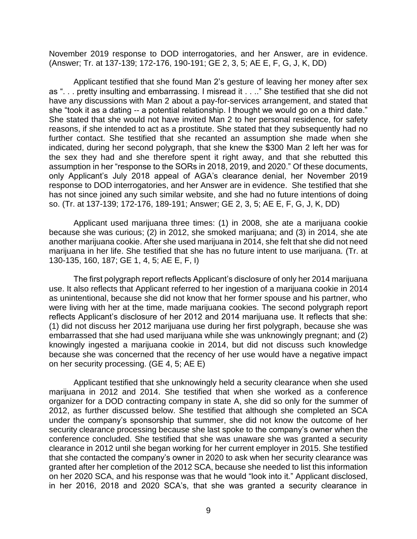November 2019 response to DOD interrogatories, and her Answer, are in evidence. (Answer; Tr. at 137-139; 172-176, 190-191; GE 2, 3, 5; AE E, F, G, J, K, DD)

 Applicant testified that she found Man 2's gesture of leaving her money after sex as ". . . pretty insulting and embarrassing. I misread it . . .." She testified that she did not have any discussions with Man 2 about a pay-for-services arrangement, and stated that she "took it as a dating -- a potential relationship. I thought we would go on a third date." She stated that she would not have invited Man 2 to her personal residence, for safety reasons, if she intended to act as a prostitute. She stated that they subsequently had no further contact. She testified that she recanted an assumption she made when she indicated, during her second polygraph, that she knew the \$300 Man 2 left her was for the sex they had and she therefore spent it right away, and that she rebutted this assumption in her "response to the SORs in 2018, 2019, and 2020." Of these documents, only Applicant's July 2018 appeal of AGA's clearance denial, her November 2019 response to DOD interrogatories, and her Answer are in evidence. She testified that she has not since joined any such similar website, and she had no future intentions of doing so. (Tr. at 137-139; 172-176, 189-191; Answer; GE 2, 3, 5; AE E, F, G, J, K, DD)

 Applicant used marijuana three times: (1) in 2008, she ate a marijuana cookie because she was curious; (2) in 2012, she smoked marijuana; and (3) in 2014, she ate another marijuana cookie. After she used marijuana in 2014, she felt that she did not need marijuana in her life. She testified that she has no future intent to use marijuana. (Tr. at 130-135, 160, 187; GE 1, 4, 5; AE E, F, I)

The first polygraph report reflects Applicant's disclosure of only her 2014 marijuana use. It also reflects that Applicant referred to her ingestion of a marijuana cookie in 2014 as unintentional, because she did not know that her former spouse and his partner, who were living with her at the time, made marijuana cookies. The second polygraph report reflects Applicant's disclosure of her 2012 and 2014 marijuana use. It reflects that she: (1) did not discuss her 2012 marijuana use during her first polygraph, because she was embarrassed that she had used marijuana while she was unknowingly pregnant; and (2) knowingly ingested a marijuana cookie in 2014, but did not discuss such knowledge because she was concerned that the recency of her use would have a negative impact on her security processing. (GE 4, 5; AE E)

 Applicant testified that she unknowingly held a security clearance when she used marijuana in 2012 and 2014. She testified that when she worked as a conference organizer for a DOD contracting company in state A, she did so only for the summer of 2012, as further discussed below. She testified that although she completed an SCA under the company's sponsorship that summer, she did not know the outcome of her security clearance processing because she last spoke to the company's owner when the conference concluded. She testified that she was unaware she was granted a security clearance in 2012 until she began working for her current employer in 2015. She testified that she contacted the company's owner in 2020 to ask when her security clearance was granted after her completion of the 2012 SCA, because she needed to list this information in her 2016, 2018 and 2020 SCA's, that she was granted a security clearance in on her 2020 SCA, and his response was that he would "look into it." Applicant disclosed,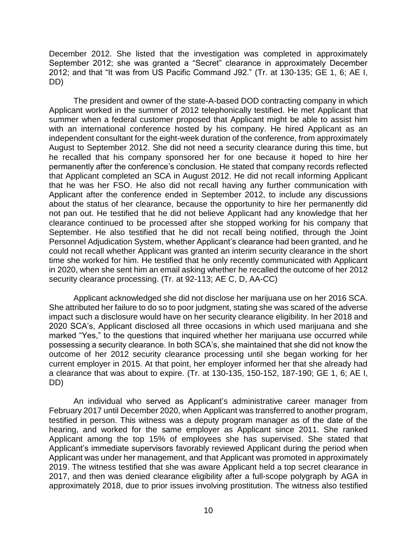December 2012. She listed that the investigation was completed in approximately September 2012; she was granted a "Secret" clearance in approximately December 2012; and that "It was from US Pacific Command J92." (Tr. at 130-135; GE 1, 6; AE I, DD)

 The president and owner of the state-A-based DOD contracting company in which Applicant worked in the summer of 2012 telephonically testified. He met Applicant that summer when a federal customer proposed that Applicant might be able to assist him with an international conference hosted by his company. He hired Applicant as an independent consultant for the eight-week duration of the conference, from approximately August to September 2012. She did not need a security clearance during this time, but he recalled that his company sponsored her for one because it hoped to hire her permanently after the conference's conclusion. He stated that company records reflected that Applicant completed an SCA in August 2012. He did not recall informing Applicant that he was her FSO. He also did not recall having any further communication with Applicant after the conference ended in September 2012, to include any discussions about the status of her clearance, because the opportunity to hire her permanently did not pan out. He testified that he did not believe Applicant had any knowledge that her clearance continued to be processed after she stopped working for his company that September. He also testified that he did not recall being notified, through the Joint Personnel Adjudication System, whether Applicant's clearance had been granted, and he could not recall whether Applicant was granted an interim security clearance in the short time she worked for him. He testified that he only recently communicated with Applicant in 2020, when she sent him an email asking whether he recalled the outcome of her 2012 security clearance processing. (Tr. at 92-113; AE C, D, AA-CC)

 Applicant acknowledged she did not disclose her marijuana use on her 2016 SCA. She attributed her failure to do so to poor judgment, stating she was scared of the adverse impact such a disclosure would have on her security clearance eligibility. In her 2018 and 2020 SCA's, Applicant disclosed all three occasions in which used marijuana and she marked "Yes," to the questions that inquired whether her marijuana use occurred while possessing a security clearance. In both SCA's, she maintained that she did not know the outcome of her 2012 security clearance processing until she began working for her current employer in 2015. At that point, her employer informed her that she already had a clearance that was about to expire. (Tr. at 130-135, 150-152, 187-190; GE 1, 6; AE I, DD)

 February 2017 until December 2020, when Applicant was transferred to another program, testified in person. This witness was a deputy program manager as of the date of the hearing, and worked for the same employer as Applicant since 2011. She ranked Applicant among the top 15% of employees she has supervised. She stated that Applicant's immediate supervisors favorably reviewed Applicant during the period when 2019. The witness testified that she was aware Applicant held a top secret clearance in 2017, and then was denied clearance eligibility after a full-scope polygraph by AGA in approximately 2018, due to prior issues involving prostitution. The witness also testified An individual who served as Applicant's administrative career manager from Applicant was under her management, and that Applicant was promoted in approximately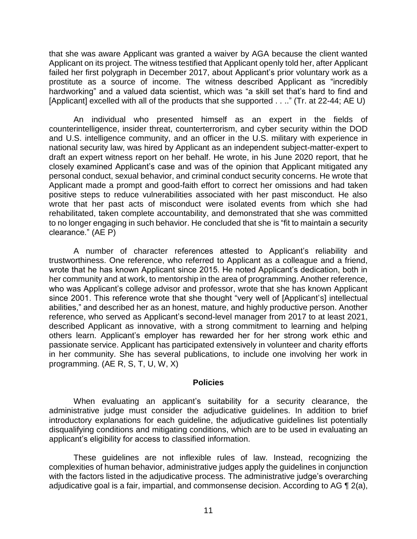that she was aware Applicant was granted a waiver by AGA because the client wanted Applicant on its project. The witness testified that Applicant openly told her, after Applicant prostitute as a source of income. The witness described Applicant as "incredibly hardworking" and a valued data scientist, which was "a skill set that's hard to find and failed her first polygraph in December 2017, about Applicant's prior voluntary work as a [Applicant] excelled with all of the products that she supported . . .." (Tr. at 22-44; AE U)

 An individual who presented himself as an expert in the fields of and U.S. intelligence community, and an officer in the U.S. military with experience in national security law, was hired by Applicant as an independent subject-matter-expert to draft an expert witness report on her behalf. He wrote, in his June 2020 report, that he closely examined Applicant's case and was of the opinion that Applicant mitigated any personal conduct, sexual behavior, and criminal conduct security concerns. He wrote that Applicant made a prompt and good-faith effort to correct her omissions and had taken positive steps to reduce vulnerabilities associated with her past misconduct. He also wrote that her past acts of misconduct were isolated events from which she had rehabilitated, taken complete accountability, and demonstrated that she was committed to no longer engaging in such behavior. He concluded that she is "fit to maintain a security counterintelligence, insider threat, counterterrorism, and cyber security within the DOD clearance." (AE P)

 A number of character references attested to Applicant's reliability and trustworthiness. One reference, who referred to Applicant as a colleague and a friend, wrote that he has known Applicant since 2015. He noted Applicant's dedication, both in her community and at work, to mentorship in the area of programming. Another reference, who was Applicant's college advisor and professor, wrote that she has known Applicant since 2001. This reference wrote that she thought "very well of [Applicant's] intellectual abilities," and described her as an honest, mature, and highly productive person. Another reference, who served as Applicant's second-level manager from 2017 to at least 2021, described Applicant as innovative, with a strong commitment to learning and helping passionate service. Applicant has participated extensively in volunteer and charity efforts in her community. She has several publications, to include one involving her work in others learn. Applicant's employer has rewarded her for her strong work ethic and programming. (AE R, S, T, U, W, X)

#### **Policies**

 When evaluating an applicant's suitability for a security clearance, the administrative judge must consider the adjudicative guidelines. In addition to brief introductory explanations for each guideline, the adjudicative guidelines list potentially disqualifying conditions and mitigating conditions, which are to be used in evaluating an applicant's eligibility for access to classified information.

 These guidelines are not inflexible rules of law. Instead, recognizing the complexities of human behavior, administrative judges apply the guidelines in conjunction with the factors listed in the adjudicative process. The administrative judge's overarching adjudicative goal is a fair, impartial, and commonsense decision. According to AG  $\P$  2(a),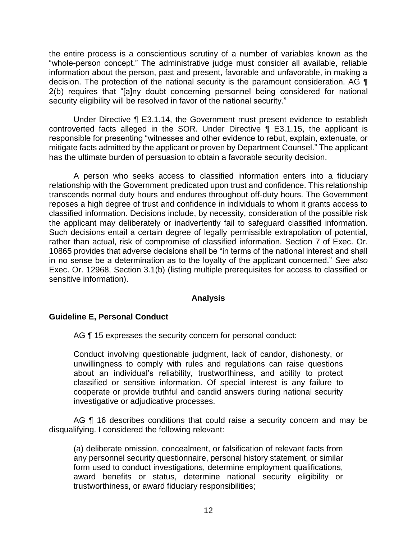the entire process is a conscientious scrutiny of a number of variables known as the "whole-person concept." The administrative judge must consider all available, reliable information about the person, past and present, favorable and unfavorable, in making a decision. The protection of the national security is the paramount consideration. AG  $\P$  2(b) requires that "[a]ny doubt concerning personnel being considered for national security eligibility will be resolved in favor of the national security."

 Under Directive ¶ E3.1.14, the Government must present evidence to establish controverted facts alleged in the SOR. Under Directive ¶ E3.1.15, the applicant is responsible for presenting "witnesses and other evidence to rebut, explain, extenuate, or mitigate facts admitted by the applicant or proven by Department Counsel." The applicant has the ultimate burden of persuasion to obtain a favorable security decision.

 A person who seeks access to classified information enters into a fiduciary relationship with the Government predicated upon trust and confidence. This relationship transcends normal duty hours and endures throughout off-duty hours. The Government reposes a high degree of trust and confidence in individuals to whom it grants access to classified information. Decisions include, by necessity, consideration of the possible risk the applicant may deliberately or inadvertently fail to safeguard classified information. Such decisions entail a certain degree of legally permissible extrapolation of potential, rather than actual, risk of compromise of classified information. Section 7 of Exec. Or. 10865 provides that adverse decisions shall be "in terms of the national interest and shall in no sense be a determination as to the loyalty of the applicant concerned." *See also*  Exec. Or. 12968, Section 3.1(b) (listing multiple prerequisites for access to classified or sensitive information).

#### **Analysis**

### **Guideline E, Personal Conduct**

AG ¶ 15 expresses the security concern for personal conduct:

Conduct involving questionable judgment, lack of candor, dishonesty, or unwillingness to comply with rules and regulations can raise questions about an individual's reliability, trustworthiness, and ability to protect classified or sensitive information. Of special interest is any failure to cooperate or provide truthful and candid answers during national security investigative or adjudicative processes.

AG ¶ 16 describes conditions that could raise a security concern and may be disqualifying. I considered the following relevant:

(a) deliberate omission, concealment, or falsification of relevant facts from any personnel security questionnaire, personal history statement, or similar form used to conduct investigations, determine employment qualifications, award benefits or status, determine national security eligibility or trustworthiness, or award fiduciary responsibilities;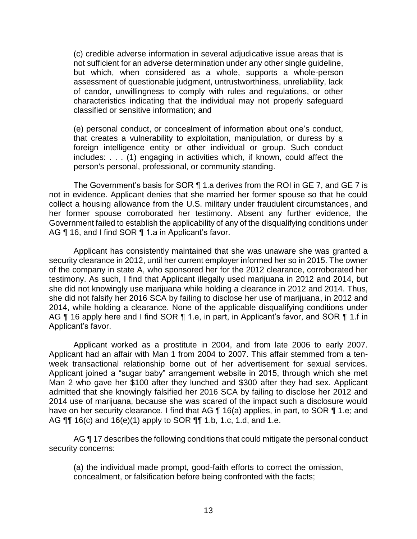(c) credible adverse information in several adjudicative issue areas that is not sufficient for an adverse determination under any other single guideline, but which, when considered as a whole, supports a whole-person assessment of questionable judgment, untrustworthiness, unreliability, lack of candor, unwillingness to comply with rules and regulations, or other characteristics indicating that the individual may not properly safeguard classified or sensitive information; and

(e) personal conduct, or concealment of information about one's conduct, that creates a vulnerability to exploitation, manipulation, or duress by a foreign intelligence entity or other individual or group. Such conduct includes: . . . (1) engaging in activities which, if known, could affect the person's personal, professional, or community standing.

 The Government's basis for SOR ¶ 1.a derives from the ROI in GE 7, and GE 7 is not in evidence. Applicant denies that she married her former spouse so that he could collect a housing allowance from the U.S. military under fraudulent circumstances, and her former spouse corroborated her testimony. Absent any further evidence, the Government failed to establish the applicability of any of the disqualifying conditions under AG ¶ 16, and I find SOR ¶ 1.a in Applicant's favor.

 Applicant has consistently maintained that she was unaware she was granted a security clearance in 2012, until her current employer informed her so in 2015. The owner of the company in state A, who sponsored her for the 2012 clearance, corroborated her testimony. As such, I find that Applicant illegally used marijuana in 2012 and 2014, but she did not knowingly use marijuana while holding a clearance in 2012 and 2014. Thus, she did not falsify her 2016 SCA by failing to disclose her use of marijuana, in 2012 and 2014, while holding a clearance. None of the applicable disqualifying conditions under AG ¶ 16 apply here and I find SOR ¶ 1.e, in part, in Applicant's favor, and SOR ¶ 1.f in Applicant's favor.

 Applicant worked as a prostitute in 2004, and from late 2006 to early 2007. Applicant had an affair with Man 1 from 2004 to 2007. This affair stemmed from a ten- week transactional relationship borne out of her advertisement for sexual services. Applicant joined a "sugar baby" arrangement website in 2015, through which she met Man 2 who gave her \$100 after they lunched and \$300 after they had sex. Applicant admitted that she knowingly falsified her 2016 SCA by failing to disclose her 2012 and 2014 use of marijuana, because she was scared of the impact such a disclosure would have on her security clearance. I find that AG ¶ 16(a) applies, in part, to SOR ¶ 1.e; and AG ¶¶ 16(c) and 16(e)(1) apply to SOR ¶¶ 1.b, 1.c, 1.d, and 1.e.

AG ¶ 17 describes the following conditions that could mitigate the personal conduct security concerns:

(a) the individual made prompt, good-faith efforts to correct the omission, concealment, or falsification before being confronted with the facts;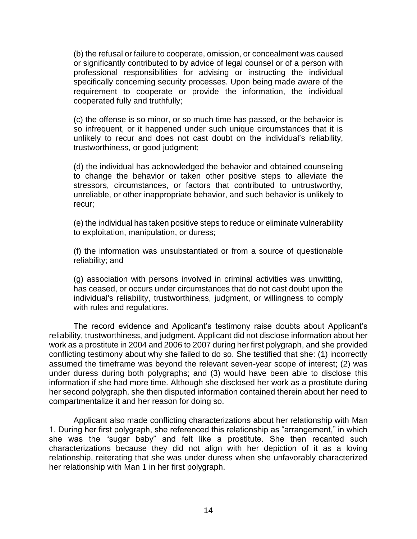(b) the refusal or failure to cooperate, omission, or concealment was caused or significantly contributed to by advice of legal counsel or of a person with professional responsibilities for advising or instructing the individual specifically concerning security processes. Upon being made aware of the requirement to cooperate or provide the information, the individual cooperated fully and truthfully;

(c) the offense is so minor, or so much time has passed, or the behavior is so infrequent, or it happened under such unique circumstances that it is unlikely to recur and does not cast doubt on the individual's reliability, trustworthiness, or good judgment;

(d) the individual has acknowledged the behavior and obtained counseling to change the behavior or taken other positive steps to alleviate the stressors, circumstances, or factors that contributed to untrustworthy, unreliable, or other inappropriate behavior, and such behavior is unlikely to recur;

(e) the individual has taken positive steps to reduce or eliminate vulnerability to exploitation, manipulation, or duress;

(f) the information was unsubstantiated or from a source of questionable reliability; and

(g) association with persons involved in criminal activities was unwitting, has ceased, or occurs under circumstances that do not cast doubt upon the individual's reliability, trustworthiness, judgment, or willingness to comply with rules and regulations.

 The record evidence and Applicant's testimony raise doubts about Applicant's reliability, trustworthiness, and judgment. Applicant did not disclose information about her work as a prostitute in 2004 and 2006 to 2007 during her first polygraph, and she provided conflicting testimony about why she failed to do so. She testified that she: (1) incorrectly assumed the timeframe was beyond the relevant seven-year scope of interest; (2) was under duress during both polygraphs; and (3) would have been able to disclose this information if she had more time. Although she disclosed her work as a prostitute during her second polygraph, she then disputed information contained therein about her need to compartmentalize it and her reason for doing so.

Applicant also made conflicting characterizations about her relationship with Man 1. During her first polygraph, she referenced this relationship as "arrangement," in which she was the "sugar baby" and felt like a prostitute. She then recanted such characterizations because they did not align with her depiction of it as a loving relationship, reiterating that she was under duress when she unfavorably characterized her relationship with Man 1 in her first polygraph.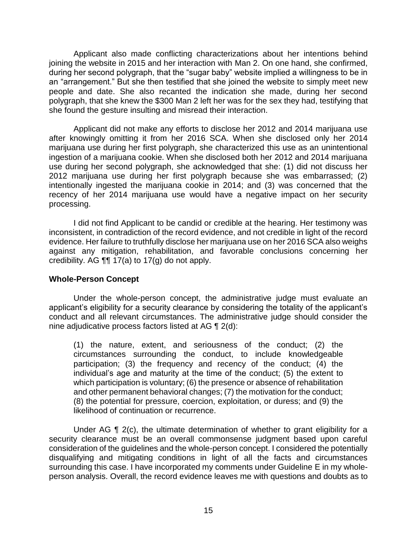Applicant also made conflicting characterizations about her intentions behind joining the website in 2015 and her interaction with Man 2. On one hand, she confirmed, during her second polygraph, that the "sugar baby" website implied a willingness to be in an "arrangement." But she then testified that she joined the website to simply meet new people and date. She also recanted the indication she made, during her second polygraph, that she knew the \$300 Man 2 left her was for the sex they had, testifying that she found the gesture insulting and misread their interaction.

 Applicant did not make any efforts to disclose her 2012 and 2014 marijuana use after knowingly omitting it from her 2016 SCA. When she disclosed only her 2014 marijuana use during her first polygraph, she characterized this use as an unintentional ingestion of a marijuana cookie. When she disclosed both her 2012 and 2014 marijuana use during her second polygraph, she acknowledged that she: (1) did not discuss her 2012 marijuana use during her first polygraph because she was embarrassed; (2) intentionally ingested the marijuana cookie in 2014; and (3) was concerned that the recency of her 2014 marijuana use would have a negative impact on her security processing.

 I did not find Applicant to be candid or credible at the hearing. Her testimony was inconsistent, in contradiction of the record evidence, and not credible in light of the record evidence. Her failure to truthfully disclose her marijuana use on her 2016 SCA also weighs against any mitigation, rehabilitation, and favorable conclusions concerning her credibility. AG  $\P\P$  17(a) to 17(g) do not apply.

### **Whole-Person Concept**

Under the whole-person concept, the administrative judge must evaluate an applicant's eligibility for a security clearance by considering the totality of the applicant's conduct and all relevant circumstances. The administrative judge should consider the nine adjudicative process factors listed at AG ¶ 2(d):

 (1) the nature, extent, and seriousness of the conduct; (2) the circumstances surrounding the conduct, to include knowledgeable participation; (3) the frequency and recency of the conduct; (4) the individual's age and maturity at the time of the conduct; (5) the extent to which participation is voluntary; (6) the presence or absence of rehabilitation and other permanent behavioral changes; (7) the motivation for the conduct; (8) the potential for pressure, coercion, exploitation, or duress; and (9) the likelihood of continuation or recurrence.

 Under AG ¶ 2(c), the ultimate determination of whether to grant eligibility for a security clearance must be an overall commonsense judgment based upon careful consideration of the guidelines and the whole-person concept. I considered the potentially disqualifying and mitigating conditions in light of all the facts and circumstances surrounding this case. I have incorporated my comments under Guideline E in my whole-person analysis. Overall, the record evidence leaves me with questions and doubts as to